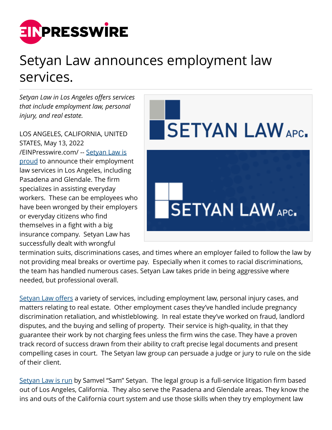

## Setyan Law announces employment law services.

*Setyan Law in Los Angeles offers services that include employment law, personal injury, and real estate.*

LOS ANGELES, CALIFORNIA, UNITED STATES, May 13, 2022 [/EINPresswire.com/](http://www.einpresswire.com) -- [Setyan Law is](https://setyanlaw.com/) [proud](https://setyanlaw.com/) to announce their employment law services in Los Angeles, including Pasadena and Glendale. The firm specializes in assisting everyday workers. These can be employees who have been wronged by their employers or everyday citizens who find themselves in a fight with a big insurance company. Setyan Law has successfully dealt with wrongful



termination suits, discriminations cases, and times where an employer failed to follow the law by not providing meal breaks or overtime pay. Especially when it comes to racial discriminations, the team has handled numerous cases. Setyan Law takes pride in being aggressive where needed, but professional overall.

[Setyan Law offers](https://www.google.com/maps?cid=12498347336654618835) a variety of services, including employment law, personal injury cases, and matters relating to real estate. Other employment cases they've handled include pregnancy discrimination retaliation, and whistleblowing. In real estate they've worked on fraud, landlord disputes, and the buying and selling of property. Their service is high-quality, in that they guarantee their work by not charging fees unless the firm wins the case. They have a proven track record of success drawn from their ability to craft precise legal documents and present compelling cases in court. The Setyan law group can persuade a judge or jury to rule on the side of their client.

[Setyan Law is run](https://www.google.com/maps?cid=4763099737848050434) by Samvel "Sam" Setyan. The legal group is a full-service litigation firm based out of Los Angeles, California. They also serve the Pasadena and Glendale areas. They know the ins and outs of the California court system and use those skills when they try employment law